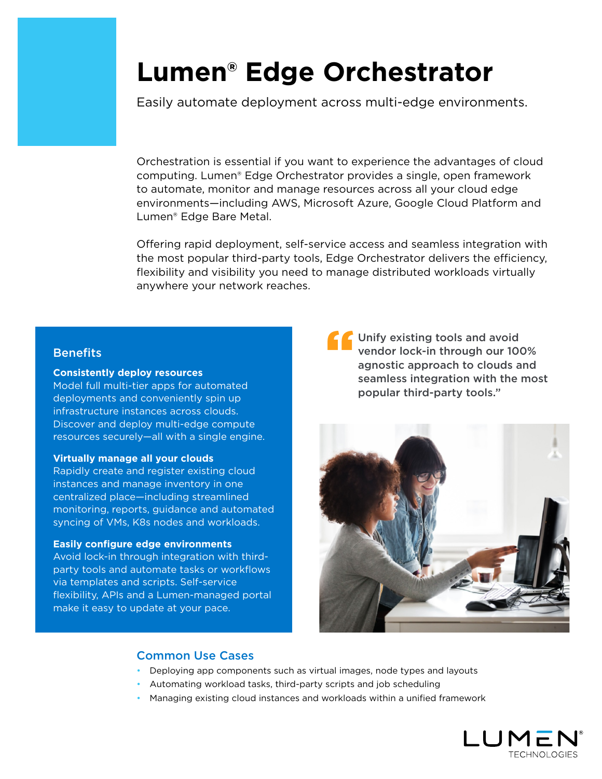# **Lumen® Edge Orchestrator**

Easily automate deployment across multi-edge environments.

Orchestration is essential if you want to experience the advantages of cloud computing. Lumen® Edge Orchestrator provides a single, open framework to automate, monitor and manage resources across all your cloud edge environments—including AWS, Microsoft Azure, Google Cloud Platform and Lumen® Edge Bare Metal.

Offering rapid deployment, self-service access and seamless integration with the most popular third-party tools, Edge Orchestrator delivers the efficiency, flexibility and visibility you need to manage distributed workloads virtually anywhere your network reaches.

# **Benefits**

#### **Consistently deploy resources**

Model full multi-tier apps for automated deployments and conveniently spin up infrastructure instances across clouds. Discover and deploy multi-edge compute resources securely—all with a single engine.

#### **Virtually manage all your clouds**

Rapidly create and register existing cloud instances and manage inventory in one centralized place—including streamlined monitoring, reports, guidance and automated syncing of VMs, K8s nodes and workloads.

#### **Easily configure edge environments**

Avoid lock-in through integration with thirdparty tools and automate tasks or workflows via templates and scripts. Self-service flexibility, APIs and a Lumen-managed portal make it easy to update at your pace.

The Unify existing tools and avoid<br>
vendor lock-in through our 100<br>
agnostic approach to clouds a<br>
seamless integration with the vendor lock-in through our 100% agnostic approach to clouds and seamless integration with the most popular third-party tools."



## Common Use Cases

- Deploying app components such as virtual images, node types and layouts
- Automating workload tasks, third-party scripts and job scheduling
- Managing existing cloud instances and workloads within a unified framework